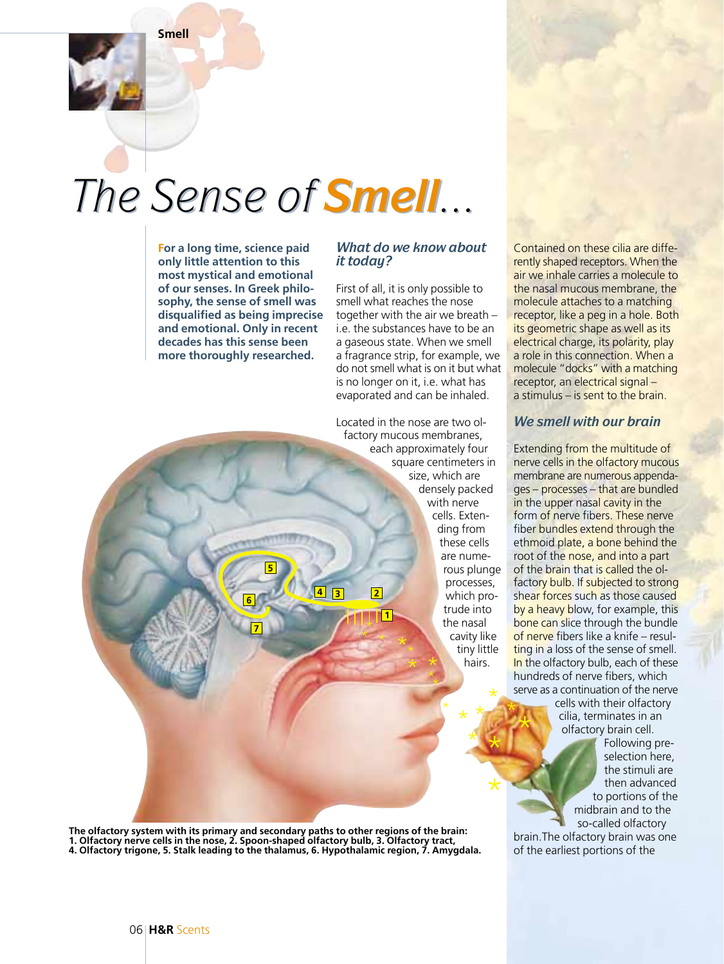**Smell**

## *The Sense of The Sense of Smell...*

**For a long time, science paid only little attention to this most mystical and emotional of our senses. In Greek philosophy, the sense of smell was disqualified as being imprecise and emotional. Only in recent decades has this sense been more thoroughly researched.**

## *What do we know about it today?*

First of all, it is only possible to smell what reaches the nose together with the air we breath – i.e. the substances have to be an a gaseous state. When we smell a fragrance strip, for example, we do not smell what is on it but what is no longer on it, i.e. what has evaporated and can be inhaled.

Located in the nose are two olfactory mucous membranes, each approximately four square centimeters in size, which are densely packed with nerve cells. Extending from these cells are numerous plunge processes, which protrude into the nasal cavity like tiny little hairs. **1** \* \* \* \* \* \* \*

\*

\* \*

\*

\* \*

\*

\*

\*

Contained on these cilia are differently shaped receptors. When the air we inhale carries a molecule to the nasal mucous membrane, the molecule attaches to a matching receptor, like a peg in a hole. Both its geometric shape as well as its electrical charge, its polarity, play a role in this connection. When a molecule "docks" with a matching receptor, an electrical signal – a stimulus – is sent to the brain.

## *We smell with our brain*

Extending from the multitude of nerve cells in the olfactory mucous membrane are numerous appendages – processes – that are bundled in the upper nasal cavity in the form of nerve fibers. These nerve fiber bundles extend through the ethmoid plate, a bone behind the root of the nose, and into a part of the brain that is called the olfactory bulb. If subjected to strong shear forces such as those caused by a heavy blow, for example, this bone can slice through the bundle of nerve fibers like a knife – resulting in a loss of the sense of smell. In the olfactory bulb, each of these hundreds of nerve fibers, which serve as a continuation of the nerve

cells with their olfactory cilia, terminates in an olfactory brain cell.

Following preselection here, the stimuli are then advanced to portions of the midbrain and to the so-called olfactory

brain.The olfactory brain was one of the earliest portions of the

**The olfactory system with its primary and secondary paths to other regions of the brain: 1. Olfactory nerve cells in the nose, 2. Spoon-shaped olfactory bulb, 3. Olfactory tract, 4. Olfactory trigone, 5. Stalk leading to the thalamus, 6. Hypothalamic region, 7. Amygdala.**

**5**

**6**

**7**

**4 3 2**

\* \*